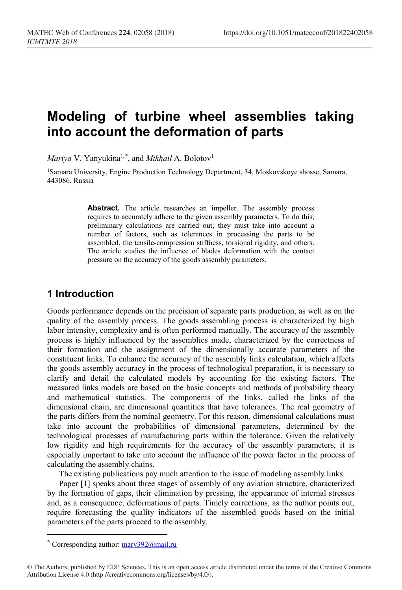# **Modeling of turbine wheel assemblies taking into account the deformation of parts**

*Mariya* V. Yanyukina1,[\\*](#page-0-0) , and *Mikhail* A. Bolotov1

1Samara University, Engine Production Technology Department, 34, Moskovskoye shosse, Samara, 443086, Russia

> Abstract. The article researches an impeller. The assembly process requires to accurately adhere to the given assembly parameters. To do this, preliminary calculations are carried out, they must take into account a number of factors, such as tolerances in processing the parts to be assembled, the tensile-compression stiffness, torsional rigidity, and others. The article studies the influence of blades deformation with the contact pressure on the accuracy of the goods assembly parameters.

## **1 Introduction**

Goods performance depends on the precision of separate parts production, as well as on the quality of the assembly process. The goods assembling process is characterized by high labor intensity, complexity and is often performed manually. The accuracy of the assembly process is highly influenced by the assemblies made, characterized by the correctness of their formation and the assignment of the dimensionally accurate parameters of the constituent links. To enhance the accuracy of the assembly links calculation, which affects the goods assembly accuracy in the process of technological preparation, it is necessary to clarify and detail the calculated models by accounting for the existing factors. The measured links models are based on the basic concepts and methods of probability theory and mathematical statistics. The components of the links, called the links of the dimensional chain, are dimensional quantities that have tolerances. The real geometry of the parts differs from the nominal geometry. For this reason, dimensional calculations must take into account the probabilities of dimensional parameters, determined by the technological processes of manufacturing parts within the tolerance. Given the relatively low rigidity and high requirements for the accuracy of the assembly parameters, it is especially important to take into account the influence of the power factor in the process of calculating the assembly chains.

The existing publications pay much attention to the issue of modeling assembly links.

Paper [1] speaks about three stages of assembly of any aviation structure, characterized by the formation of gaps, their elimination by pressing, the appearance of internal stresses and, as a consequence, deformations of parts. Timely corrections, as the author points out, require forecasting the quality indicators of the assembled goods based on the initial parameters of the parts proceed to the assembly.

 $\overline{a}$ 

Corresponding author:  $\frac{mary392}{(2)}$  mail.ru

<span id="page-0-0"></span><sup>©</sup> The Authors, published by EDP Sciences. This is an open access article distributed under the terms of the Creative Commons Attribution License 4.0 (http://creativecommons.org/licenses/by/4.0/).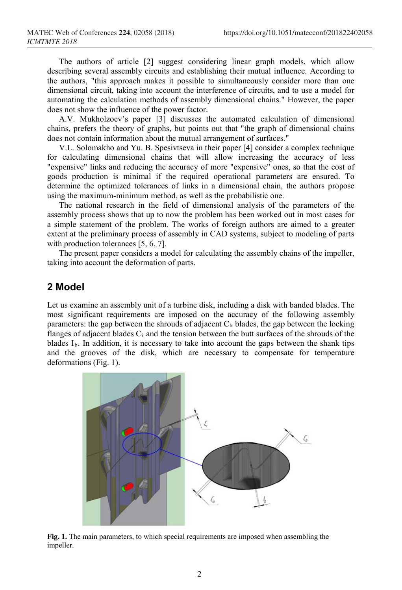The authors of article [2] suggest considering linear graph models, which allow describing several assembly circuits and establishing their mutual influence. According to the authors, "this approach makes it possible to simultaneously consider more than one dimensional circuit, taking into account the interference of circuits, and to use a model for automating the calculation methods of assembly dimensional chains." However, the paper does not show the influence of the power factor.

A.V. Mukholzoev's paper [3] discusses the automated calculation of dimensional chains, prefers the theory of graphs, but points out that "the graph of dimensional chains does not contain information about the mutual arrangement of surfaces."

V.L. Solomakho and Yu. B. Spesivtseva in their paper [4] consider a complex technique for calculating dimensional chains that will allow increasing the accuracy of less "expensive" links and reducing the accuracy of more "expensive" ones, so that the cost of goods production is minimal if the required operational parameters are ensured. To determine the optimized tolerances of links in a dimensional chain, the authors propose using the maximum-minimum method, as well as the probabilistic one.

The national research in the field of dimensional analysis of the parameters of the assembly process shows that up to now the problem has been worked out in most cases for a simple statement of the problem. The works of foreign authors are aimed to a greater extent at the preliminary process of assembly in CAD systems, subject to modeling of parts with production tolerances [5, 6, 7].

The present paper considers a model for calculating the assembly chains of the impeller, taking into account the deformation of parts.

## **2 Model**

Let us examine an assembly unit of a turbine disk, including a disk with banded blades. The most significant requirements are imposed on the accuracy of the following assembly parameters: the gap between the shrouds of adjacent  $C<sub>b</sub>$  blades, the gap between the locking flanges of adjacent blades  $C_i$  and the tension between the butt surfaces of the shrouds of the blades  $I<sub>b</sub>$ . In addition, it is necessary to take into account the gaps between the shank tips and the grooves of the disk, which are necessary to compensate for temperature deformations (Fig. 1).



**Fig. 1.** The main parameters, to which special requirements are imposed when assembling the impeller.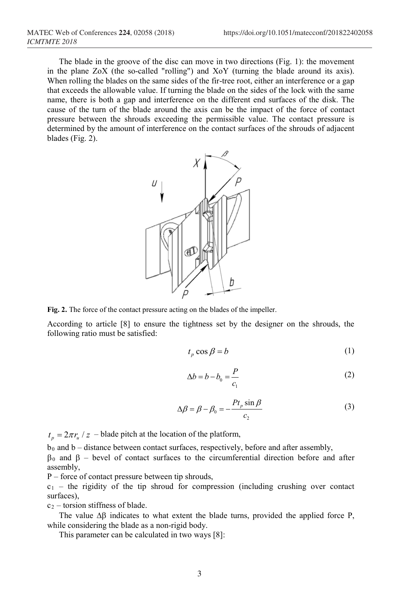The blade in the groove of the disc can move in two directions (Fig. 1): the movement in the plane ZoX (the so-called "rolling") and XoY (turning the blade around its axis). When rolling the blades on the same sides of the fir-tree root, either an interference or a gap that exceeds the allowable value. If turning the blade on the sides of the lock with the same name, there is both a gap and interference on the different end surfaces of the disk. The cause of the turn of the blade around the axis can be the impact of the force of contact pressure between the shrouds exceeding the permissible value. The contact pressure is determined by the amount of interference on the contact surfaces of the shrouds of adjacent blades (Fig. 2).



**Fig. 2.** The force of the contact pressure acting on the blades of the impeller.

According to article [8] to ensure the tightness set by the designer on the shrouds, the following ratio must be satisfied:

$$
t_p \cos \beta = b \tag{1}
$$

$$
\Delta b = b - b_0 = \frac{P}{c_1} \tag{2}
$$

$$
\Delta \beta = \beta - \beta_0 = -\frac{P t_p \sin \beta}{c_2} \tag{3}
$$

 $t_p = 2\pi r_u / z$  – blade pitch at the location of the platform,

 $b_0$  and  $b -$  distance between contact surfaces, respectively, before and after assembly,

β<sup>0</sup> and β – bevel of contact surfaces to the circumferential direction before and after assembly,

P – force of contact pressure between tip shrouds,

 $c_1$  – the rigidity of the tip shroud for compression (including crushing over contact surfaces),

 $c_2$  – torsion stiffness of blade.

The value  $\Delta\beta$  indicates to what extent the blade turns, provided the applied force P, while considering the blade as a non-rigid body.

This parameter can be calculated in two ways [8]: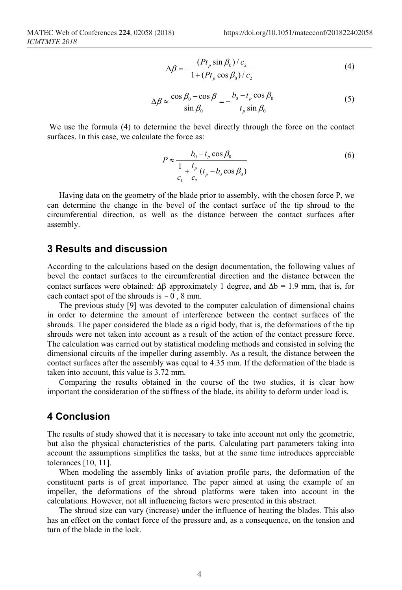$$
\Delta \beta = -\frac{(P t_p \sin \beta_0) / c_2}{1 + (P t_p \cos \beta_0) / c_2} \tag{4}
$$

$$
\Delta \beta \approx \frac{\cos \beta_0 - \cos \beta}{\sin \beta_0} = -\frac{b_0 - t_p \cos \beta_0}{t_p \sin \beta_0}
$$
 (5)

We use the formula (4) to determine the bevel directly through the force on the contact surfaces. In this case, we calculate the force as:

$$
P \approx \frac{b_0 - t_p \cos \beta_0}{\frac{1}{c_1} + \frac{t_p}{c_2} (t_p - b_0 \cos \beta_0)}
$$
(6)

Having data on the geometry of the blade prior to assembly, with the chosen force P, we can determine the change in the bevel of the contact surface of the tip shroud to the circumferential direction, as well as the distance between the contact surfaces after assembly.

#### **3 Results and discussion**

According to the calculations based on the design documentation, the following values of bevel the contact surfaces to the circumferential direction and the distance between the contact surfaces were obtained:  $\Delta\beta$  approximately 1 degree, and  $\Delta b = 1.9$  mm, that is, for each contact spot of the shrouds is  $\sim 0$ , 8 mm.

The previous study [9] was devoted to the computer calculation of dimensional chains in order to determine the amount of interference between the contact surfaces of the shrouds. The paper considered the blade as a rigid body, that is, the deformations of the tip shrouds were not taken into account as a result of the action of the contact pressure force. The calculation was carried out by statistical modeling methods and consisted in solving the dimensional circuits of the impeller during assembly. As a result, the distance between the contact surfaces after the assembly was equal to 4.35 mm. If the deformation of the blade is taken into account, this value is 3.72 mm.

Comparing the results obtained in the course of the two studies, it is clear how important the consideration of the stiffness of the blade, its ability to deform under load is.

### **4 Conclusion**

The results of study showed that it is necessary to take into account not only the geometric, but also the physical characteristics of the parts. Calculating part parameters taking into account the assumptions simplifies the tasks, but at the same time introduces appreciable tolerances [10, 11].

When modeling the assembly links of aviation profile parts, the deformation of the constituent parts is of great importance. The paper aimed at using the example of an impeller, the deformations of the shroud platforms were taken into account in the calculations. However, not all influencing factors were presented in this abstract.

The shroud size can vary (increase) under the influence of heating the blades. This also has an effect on the contact force of the pressure and, as a consequence, on the tension and turn of the blade in the lock.